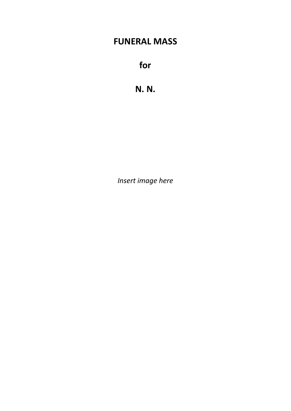# **FUNERAL MASS**

**for**

**N. N.**

*Insert image here*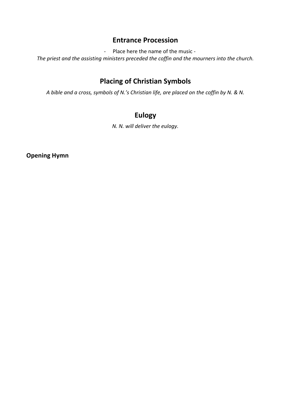# **Entrance Procession**

- Place here the name of the music -

*The priest and the assisting ministers preceded the coffin and the mourners into the church.*

# **Placing of Christian Symbols**

*A bible and a cross, symbols of N.'s Christian life, are placed on the coffin by N. & N.*

# **Eulogy**

*N. N. will deliver the eulogy.*

**Opening Hymn**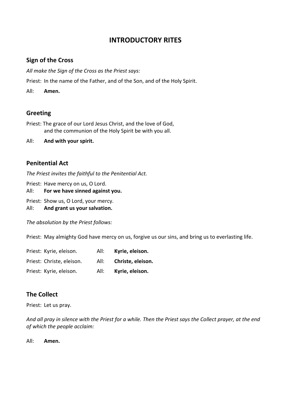# **INTRODUCTORY RITES**

### **Sign of the Cross**

*All make the Sign of the Cross as the Priest says:* 

Priest: In the name of the Father, and of the Son, and of the Holy Spirit.

All: **Amen.**

### **Greeting**

Priest: The grace of our Lord Jesus Christ, and the love of God, and the communion of the Holy Spirit be with you all.

All: **And with your spirit.**

### **Penitential Act**

*The Priest invites the faithful to the Penitential Act.* 

Priest: Have mercy on us, O Lord.

- All: **For we have sinned against you.**
- Priest: Show us, O Lord, your mercy.
- All: **And grant us your salvation.**

*The absolution by the Priest follows:* 

Priest: May almighty God have mercy on us, forgive us our sins, and bring us to everlasting life.

Priest: Kyrie, eleison. All: **Kyrie, eleison.** Priest: Christe, eleison. All: **Christe, eleison.** Priest: Kyrie, eleison. All: **Kyrie, eleison.**

# **The Collect**

Priest: Let us pray.

*And all pray in silence with the Priest for a while. Then the Priest says the Collect prayer, at the end of which the people acclaim:* 

All: **Amen.**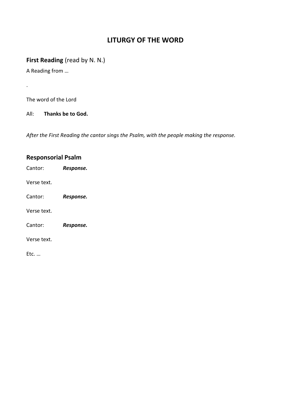# **LITURGY OF THE WORD**

# **First Reading** (read by N. N.)

A Reading from …

.

The word of the Lord

All: **Thanks be to God.**

*After the First Reading the cantor sings the Psalm, with the people making the response.*

| <b>Responsorial Psalm</b> |           |
|---------------------------|-----------|
| Cantor:                   | Response. |
| Verse text.               |           |
| Cantor:                   | Response. |
| Verse text.               |           |
| Cantor:                   | Response. |
| Verse text.               |           |
| Etc.                      |           |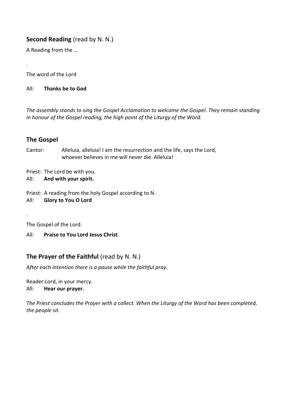# **Second Reading** (read by N. N.)

A Reading from the …

The word of the Lord

.

All: **Thanks be to God**

*The assembly stands to sing the Gospel Acclamation to welcome the Gospel. They remain standing in honour of the Gospel reading, the high point of the Liturgy of the Word.*

# **The Gospel**

Cantor: Alleluia, alleluia! I am the resurrection and the life, says the Lord, whoever believes in me will never die. Alleluia!

Priest: The Lord be with you.

All: **And with your spirit.**

Priest: A reading from the holy Gospel according to N.

All: **Glory to You O Lord**

The Gospel of the Lord.

.

All: **Praise to You Lord Jesus Christ**

# **The Prayer of the Faithful** (read by N. N.)

*After each intention there is a pause while the faithful pray.* 

Reader:Lord, in your mercy. All: **Hear our prayer.**

*The Priest concludes the Prayer with a collect. When the Liturgy of the Word has been completed, the people sit.*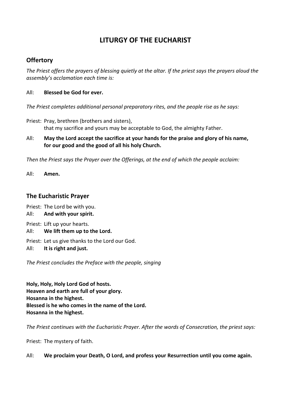# **LITURGY OF THE EUCHARIST**

### **Offertory**

*The Priest offers the prayers of blessing quietly at the altar. If the priest says the prayers aloud the assembly's acclamation each time is:* 

#### All: **Blessed be God for ever.**

*The Priest completes additional personal preparatory rites, and the people rise as he says:*

- Priest: Pray, brethren (brothers and sisters), that my sacrifice and yours may be acceptable to God, the almighty Father.
- All: **May the Lord accept the sacrifice at your hands for the praise and glory of his name, for our good and the good of all his holy Church.**

*Then the Priest says the Prayer over the Offerings, at the end of which the people acclaim:* 

All: **Amen.**

#### **The Eucharistic Prayer**

Priest: The Lord be with you.

All: **And with your spirit.**

Priest: Lift up your hearts.

All: **We lift them up to the Lord.**

Priest: Let us give thanks to the Lord our God.

All: **It is right and just.** 

*The Priest concludes the Preface with the people, singing*

**Holy, Holy, Holy Lord God of hosts. Heaven and earth are full of your glory. Hosanna in the highest. Blessed is he who comes in the name of the Lord. Hosanna in the highest.** 

*The Priest continues with the Eucharistic Prayer. After the words of Consecration, the priest says:* 

Priest: The mystery of faith.

#### All: **We proclaim your Death, O Lord, and profess your Resurrection until you come again.**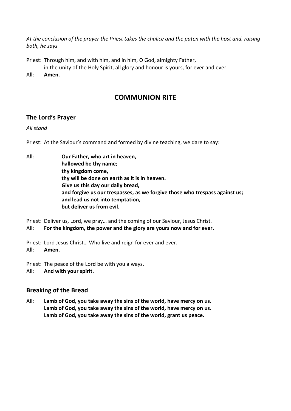*At the conclusion of the prayer the Priest takes the chalice and the paten with the host and, raising both, he says* 

Priest: Through him, and with him, and in him, O God, almighty Father,

- in the unity of the Holy Spirit, all glory and honour is yours, for ever and ever.
- All: **Amen.**

# **COMMUNION RITE**

### **The Lord's Prayer**

*All stand* 

Priest: At the Saviour's command and formed by divine teaching, we dare to say:

All: **Our Father, who art in heaven, hallowed be thy name; thy kingdom come, thy will be done on earth as it is in heaven. Give us this day our daily bread, and forgive us our trespasses, as we forgive those who trespass against us; and lead us not into temptation, but deliver us from evil.** 

Priest: Deliver us, Lord, we pray… and the coming of our Saviour, Jesus Christ.

All: **For the kingdom, the power and the glory are yours now and for ever.**

Priest: Lord Jesus Christ… Who live and reign for ever and ever. All: **Amen.**

Priest: The peace of the Lord be with you always.

All: **And with your spirit.** 

### **Breaking of the Bread**

All: **Lamb of God, you take away the sins of the world, have mercy on us. Lamb of God, you take away the sins of the world, have mercy on us. Lamb of God, you take away the sins of the world, grant us peace.**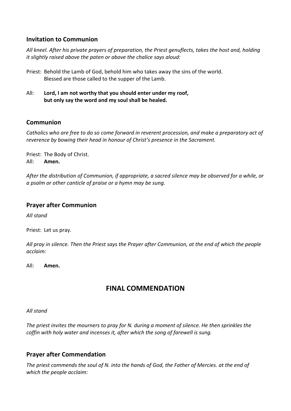### **Invitation to Communion**

*All kneel. After his private prayers of preparation, the Priest genuflects, takes the host and, holding it slightly raised above the paten or above the chalice says aloud:* 

- Priest: Behold the Lamb of God, behold him who takes away the sins of the world. Blessed are those called to the supper of the Lamb.
- All: **Lord, I am not worthy that you should enter under my roof, but only say the word and my soul shall be healed.**

### **Communion**

*Catholics who are free to do so come forward in reverent procession, and make a preparatory act of reverence by bowing their head in honour of Christ's presence in the Sacrament.* 

Priest: The Body of Christ. All: **Amen.**

*After the distribution of Communion, if appropriate, a sacred silence may be observed for a while, or a psalm or other canticle of praise or a hymn may be sung.* 

### **Prayer after Communion**

*All stand* 

Priest: Let us pray.

*All pray in silence. Then the Priest says the Prayer after Communion, at the end of which the people acclaim:* 

All: **Amen.** 

# **FINAL COMMENDATION**

#### *All stand*

*The priest invites the mourners to pray for N. during a moment of silence. He then sprinkles the coffin with holy water and incenses it, after which the song of farewell is sung.*

# **Prayer after Commendation**

*The priest commends the soul of N. into the hands of God, the Father of Mercies. at the end of which the people acclaim:*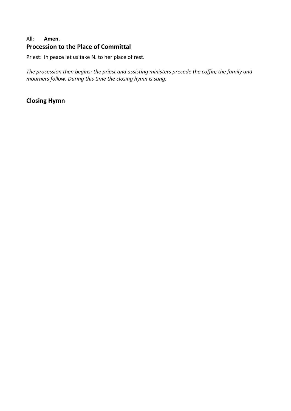### All: **Amen. Procession to the Place of Committal**

Priest: In peace let us take N. to her place of rest.

*The procession then begins: the priest and assisting ministers precede the coffin; the family and mourners follow. During this time the closing hymn is sung.*

# **Closing Hymn**